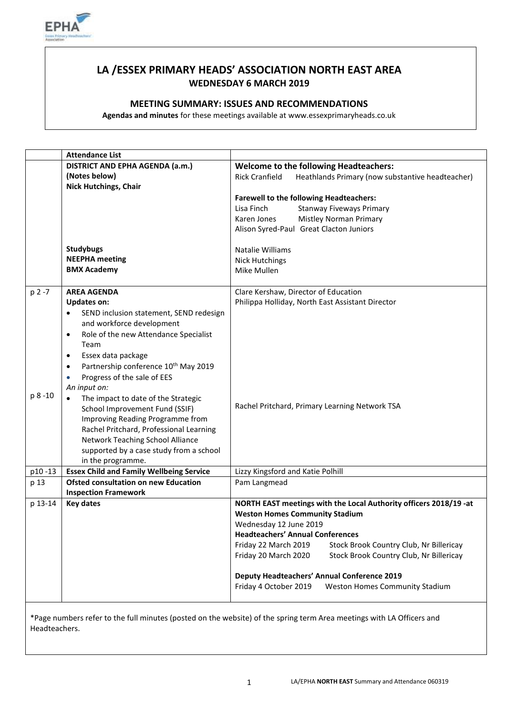

# **LA /ESSEX PRIMARY HEADS' ASSOCIATION NORTH EAST AREA WEDNESDAY 6 MARCH 2019**

### **MEETING SUMMARY: ISSUES AND RECOMMENDATIONS**

**Agendas and minutes** for these meetings available at www.essexprimaryheads.co.uk

|           | <b>Attendance List</b>                                                     |                                                                           |
|-----------|----------------------------------------------------------------------------|---------------------------------------------------------------------------|
|           | <b>DISTRICT AND EPHA AGENDA (a.m.)</b>                                     | <b>Welcome to the following Headteachers:</b>                             |
|           | (Notes below)<br><b>Nick Hutchings, Chair</b>                              | <b>Rick Cranfield</b><br>Heathlands Primary (now substantive headteacher) |
|           |                                                                            | <b>Farewell to the following Headteachers:</b>                            |
|           |                                                                            | Lisa Finch<br><b>Stanway Fiveways Primary</b>                             |
|           |                                                                            | <b>Mistley Norman Primary</b><br>Karen Jones                              |
|           |                                                                            | Alison Syred-Paul Great Clacton Juniors                                   |
|           |                                                                            |                                                                           |
|           | <b>Studybugs</b>                                                           | Natalie Williams                                                          |
|           | <b>NEEPHA</b> meeting                                                      | <b>Nick Hutchings</b>                                                     |
|           | <b>BMX Academy</b>                                                         | Mike Mullen                                                               |
|           |                                                                            |                                                                           |
| $p 2 - 7$ | <b>AREA AGENDA</b>                                                         | Clare Kershaw, Director of Education                                      |
|           | <b>Updates on:</b>                                                         | Philippa Holliday, North East Assistant Director                          |
|           | SEND inclusion statement, SEND redesign                                    |                                                                           |
|           | and workforce development                                                  |                                                                           |
|           | Role of the new Attendance Specialist<br>$\bullet$                         |                                                                           |
|           | Team                                                                       |                                                                           |
|           | Essex data package<br>$\bullet$                                            |                                                                           |
|           | Partnership conference 10 <sup>th</sup> May 2019<br>$\bullet$              |                                                                           |
|           | Progress of the sale of EES<br>$\bullet$                                   |                                                                           |
|           | An input on:                                                               |                                                                           |
| p 8 -10   | The impact to date of the Strategic                                        |                                                                           |
|           | School Improvement Fund (SSIF)                                             | Rachel Pritchard, Primary Learning Network TSA                            |
|           | Improving Reading Programme from                                           |                                                                           |
|           | Rachel Pritchard, Professional Learning                                    |                                                                           |
|           | Network Teaching School Alliance                                           |                                                                           |
|           | supported by a case study from a school                                    |                                                                           |
|           | in the programme.                                                          |                                                                           |
| p10-13    | <b>Essex Child and Family Wellbeing Service</b>                            | Lizzy Kingsford and Katie Polhill                                         |
| p 13      | <b>Ofsted consultation on new Education</b><br><b>Inspection Framework</b> | Pam Langmead                                                              |
| p 13-14   | <b>Key dates</b>                                                           | NORTH EAST meetings with the Local Authority officers 2018/19 -at         |
|           |                                                                            | <b>Weston Homes Community Stadium</b>                                     |
|           |                                                                            | Wednesday 12 June 2019                                                    |
|           |                                                                            | <b>Headteachers' Annual Conferences</b>                                   |
|           |                                                                            | Friday 22 March 2019<br>Stock Brook Country Club, Nr Billericay           |
|           |                                                                            | Friday 20 March 2020<br>Stock Brook Country Club, Nr Billericay           |
|           |                                                                            | <b>Deputy Headteachers' Annual Conference 2019</b>                        |
|           |                                                                            | Friday 4 October 2019<br>Weston Homes Community Stadium                   |
|           |                                                                            |                                                                           |

\*Page numbers refer to the full minutes (posted on the website) of the spring term Area meetings with LA Officers and Headteachers.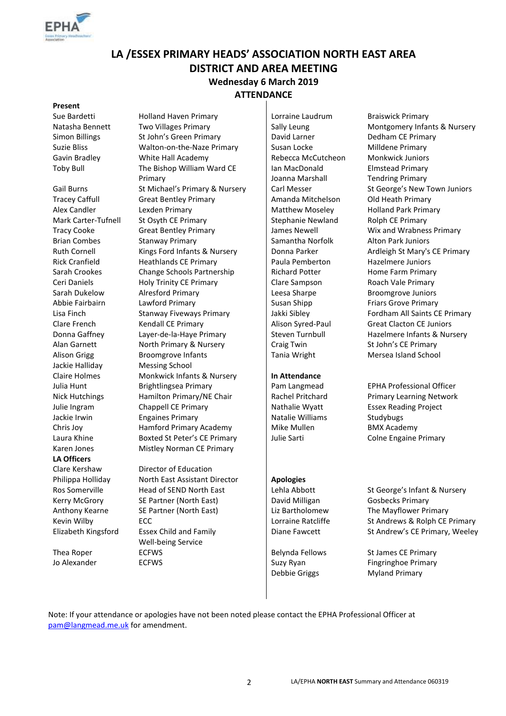

# **LA /ESSEX PRIMARY HEADS' ASSOCIATION NORTH EAST AREA DISTRICT AND AREA MEETING Wednesday 6 March 2019 ATTENDANCE**

#### **Present**

Jackie Halliday Messing School **LA Officers**

Sue Bardetti **Holland Haven Primary Lorraine Laudrum** Braiswick Primary Simon Billings St John's Green Primary David Larner Suzie Bliss **Suzie Bliss** Walton-on-the-Naze Primary Susan Locke Milldene Primary Gavin Bradley **Mite Hall Academy** Rebecca McCutcheon Monkwick Juniors Toby Bull The Bishop William Ward CE Primary Gail Burns St Michael's Primary & Nursery Carl Messer St George's New Town Juniors Tracey Caffull Great Bentley Primary **Amanda Mitchelson** Old Heath Primary Alex Candler **Lexden Primary Community Constrained Matthew Moseley** Holland Park Primary Mark Carter-Tufnell St Osyth CE Primary Stephanie Newland Rolph CE Primary Tracy Cooke Great Bentley Primary James Newell Wix and Wrabness Primary Brian Combes Stanway Primary School Samantha Norfolk Alton Park Juniors Ruth Cornell Kings Ford Infants & Nursery | Donna Parker Ardleigh St Mary's CE Primary Rick Cranfield **Heathlands CE Primary Faula Pemberton** Hazelmere Juniors Sarah Crookes Change Schools Partnership Richard Potter Home Farm Primary Ceri Daniels **Holy Trinity CE Primary** Clare Sampson Roach Vale Primary Sarah Dukelow Alresford Primary Reference Leesa Sharpe Broomgrove Juniors Abbie Fairbairn Lawford Primary **Susan Shipp Friars Grove Primary** Susan Shipp Friars Grove Primary Lisa Finch Stanway Fiveways Primary Jakki Sibley Fordham All Saints CE Primary Clare French Kendall CE Primary Alison Syred-Paul Great Clacton CE Juniors Donna Gaffney Layer-de-la-Haye Primary Steven Turnbull Hazelmere Infants & Nursery Alan Garnett **North Primary & Nursery Craig Twin** St John's CE Primary Alison Grigg **Broomgrove Infants** Tania Wright Mersea Island School Claire Holmes Monkwick Infants & Nursery **In Attendance**  Julia Hunt Brightlingsea Primary Pam Langmead EPHA Professional Officer Nick Hutchings Hamilton Primary/NE Chair Rachel Pritchard Primary Learning Network Julie Ingram Chappell CE Primary Nathalie Wyatt Essex Reading Project Jackie Irwin **Engaines Primary** Natalie Williams Studybugs Chris Joy **Hamford Primary Academy** Mike Mullen BMX Academy Laura Khine **Boxted St Peter's CE Primary** Julie Sarti **Colne Engaine Primary** Julie Sarti Colne Engaine Primary Karen Jones Mistley Norman CE Primary

Clare Kershaw Director of Education Philippa Holliday **North East Assistant Director Apologies** Ros Somerville Head of SEND North East Lehla Abbott St George's Infant & Nursery Kerry McGrory SE Partner (North East) | David Milligan Gosbecks Primary Anthony Kearne SE Partner (North East) Liz Bartholomew The Mayflower Primary Elizabeth Kingsford Essex Child and Family Well-being Service Thea Roper **ECFWS** ECFWS Belynda Fellows St James CE Primary Jo Alexander **ECFWS** ECFWS Suzy Ryan

Ian MacDonald Joanna Marshall

Debbie Griggs

Natasha Bennett Two Villages Primary Sally Leung Montgomery Infants & Nursery<br>Simon Billings St John's Green Primary David Larner Dedham CE Primary Elmstead Primary Tendring Primary

Kevin Wilby **ECC** ECC ECC ECC ECC ECC ECC ECC ECCC ECCC ECCCCLOBET ECCCCLOSE ECCCCLOSE ECCCCLOSE ECCCCLOSE ECCCCLOSE ECCCCLOSE ECCCCLOSE ECCCCLOSE ECCCCLOSE ECCCCLOSE ECCCCLOSE ECCCCLOSE ECCCCLOSE ECCCCLOSE ECCCCLOSE ECCCC Diane Fawcett St Andrew's CE Primary, Weeley

> Fingringhoe Primary Myland Primary

Note: If your attendance or apologies have not been noted please contact the EPHA Professional Officer at [pam@langmead.me.uk](mailto:pam@langmead.me.uk) for amendment.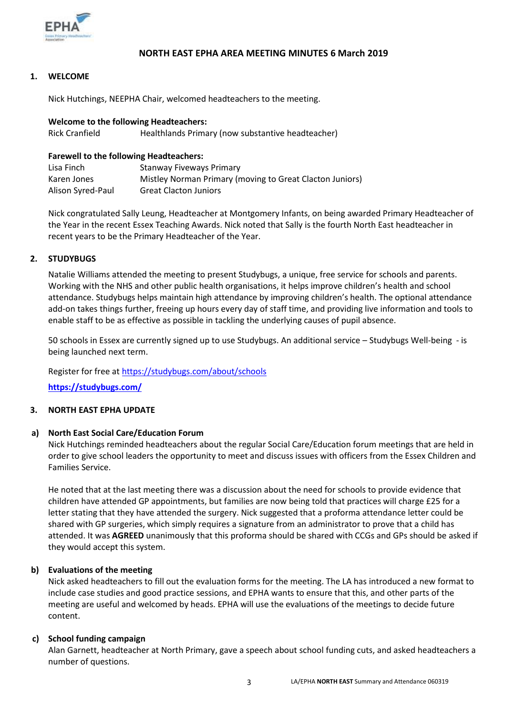

#### **NORTH EAST EPHA AREA MEETING MINUTES 6 March 2019**

#### **1. WELCOME**

Nick Hutchings, NEEPHA Chair, welcomed headteachers to the meeting.

## **Welcome to the following Headteachers:** Rick Cranfield Healthlands Primary (now substantive headteacher)

#### **Farewell to the following Headteachers:**

| Lisa Finch        | <b>Stanway Fiveways Primary</b>                          |
|-------------------|----------------------------------------------------------|
| Karen Jones       | Mistley Norman Primary (moving to Great Clacton Juniors) |
| Alison Syred-Paul | <b>Great Clacton Juniors</b>                             |

Nick congratulated Sally Leung, Headteacher at Montgomery Infants, on being awarded Primary Headteacher of the Year in the recent Essex Teaching Awards. Nick noted that Sally is the fourth North East headteacher in recent years to be the Primary Headteacher of the Year.

#### **2. STUDYBUGS**

Natalie Williams attended the meeting to present Studybugs, a unique, free service for schools and parents. Working with the NHS and other public health organisations, it helps improve children's health and school attendance. Studybugs helps maintain high attendance by improving children's health. The optional attendance add-on takes things further, freeing up hours every day of staff time, and providing live information and tools to enable staff to be as effective as possible in tackling the underlying causes of pupil absence.

50 schools in Essex are currently signed up to use Studybugs. An additional service – Studybugs Well-being - is being launched next term.

Register for free at<https://studybugs.com/about/schools>

**<https://studybugs.com/>**

#### **3. NORTH EAST EPHA UPDATE**

#### **a) North East Social Care/Education Forum**

Nick Hutchings reminded headteachers about the regular Social Care/Education forum meetings that are held in order to give school leaders the opportunity to meet and discuss issues with officers from the Essex Children and Families Service.

He noted that at the last meeting there was a discussion about the need for schools to provide evidence that children have attended GP appointments, but families are now being told that practices will charge £25 for a letter stating that they have attended the surgery. Nick suggested that a proforma attendance letter could be shared with GP surgeries, which simply requires a signature from an administrator to prove that a child has attended. It was **AGREED** unanimously that this proforma should be shared with CCGs and GPs should be asked if they would accept this system.

#### **b) Evaluations of the meeting**

Nick asked headteachers to fill out the evaluation forms for the meeting. The LA has introduced a new format to include case studies and good practice sessions, and EPHA wants to ensure that this, and other parts of the meeting are useful and welcomed by heads. EPHA will use the evaluations of the meetings to decide future content.

#### **c) School funding campaign**

Alan Garnett, headteacher at North Primary, gave a speech about school funding cuts, and asked headteachers a number of questions.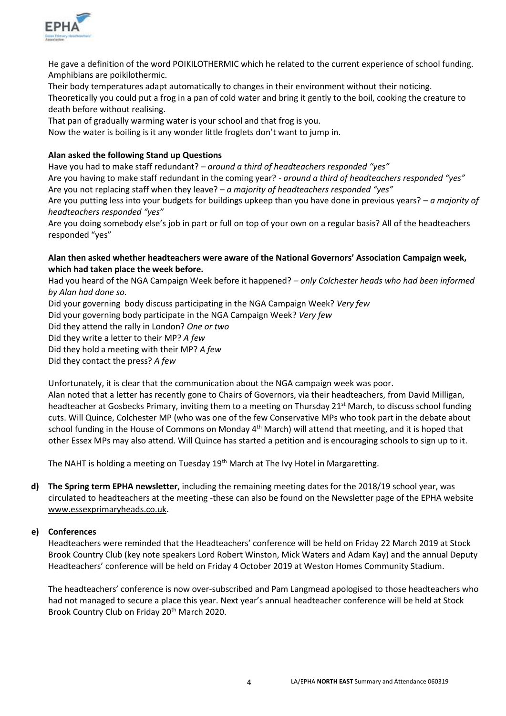

He gave a definition of the word POIKILOTHERMIC which he related to the current experience of school funding. Amphibians are poikilothermic.

Their body temperatures adapt automatically to changes in their environment without their noticing. Theoretically you could put a frog in a pan of cold water and bring it gently to the boil, cooking the creature to death before without realising.

That pan of gradually warming water is your school and that frog is you.

Now the water is boiling is it any wonder little froglets don't want to jump in.

### **Alan asked the following Stand up Questions**

Have you had to make staff redundant? *– around a third of headteachers responded "yes"* Are you having to make staff redundant in the coming year? *- around a third of headteachers responded "yes"*

Are you not replacing staff when they leave? – *a majority of headteachers responded "yes"*

Are you putting less into your budgets for buildings upkeep than you have done in previous years? – *a majority of headteachers responded "yes"*

Are you doing somebody else's job in part or full on top of your own on a regular basis? All of the headteachers responded "yes"

#### **Alan then asked whether headteachers were aware of the National Governors' Association Campaign week, which had taken place the week before.**

Had you heard of the NGA Campaign Week before it happened? *– only Colchester heads who had been informed by Alan had done so.*

Did your governing body discuss participating in the NGA Campaign Week? *Very few*

Did your governing body participate in the NGA Campaign Week? *Very few*

Did they attend the rally in London? *One or two*

Did they write a letter to their MP? *A few*

Did they hold a meeting with their MP? *A few*

Did they contact the press? *A few*

Unfortunately, it is clear that the communication about the NGA campaign week was poor.

Alan noted that a letter has recently gone to Chairs of Governors, via their headteachers, from David Milligan, headteacher at Gosbecks Primary, inviting them to a meeting on Thursday 21<sup>st</sup> March, to discuss school funding cuts. Will Quince, Colchester MP (who was one of the few Conservative MPs who took part in the debate about school funding in the House of Commons on Monday 4<sup>th</sup> March) will attend that meeting, and it is hoped that other Essex MPs may also attend. Will Quince has started a petition and is encouraging schools to sign up to it.

The NAHT is holding a meeting on Tuesday 19<sup>th</sup> March at The Ivy Hotel in Margaretting.

**d) The Spring term EPHA newsletter**, including the remaining meeting dates for the 2018/19 school year, was circulated to headteachers at the meeting -these can also be found on the Newsletter page of the EPHA website [www.essexprimaryheads.co.uk.](http://www.essexprimaryheads.co.uk/)

## **e) Conferences**

Headteachers were reminded that the Headteachers' conference will be held on Friday 22 March 2019 at Stock Brook Country Club (key note speakers Lord Robert Winston, Mick Waters and Adam Kay) and the annual Deputy Headteachers' conference will be held on Friday 4 October 2019 at Weston Homes Community Stadium.

The headteachers' conference is now over-subscribed and Pam Langmead apologised to those headteachers who had not managed to secure a place this year. Next year's annual headteacher conference will be held at Stock Brook Country Club on Friday 20<sup>th</sup> March 2020.